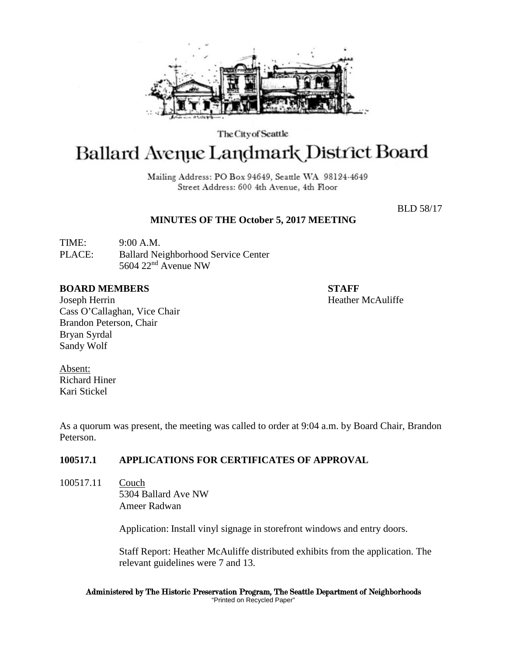

The City of Seattle

# Ballard Avenue Landmark District Board

Mailing Address: PO Box 94649, Seattle WA 98124-4649 Street Address: 600 4th Avenue, 4th Floor

BLD 58/17

# **MINUTES OF THE October 5, 2017 MEETING**

TIME: 9:00 A.M. PLACE: Ballard Neighborhood Service Center 5604 22nd Avenue NW

### **BOARD MEMBERS STAFF**

Joseph Herrin Heather McAuliffe Cass O'Callaghan, Vice Chair Brandon Peterson, Chair Bryan Syrdal Sandy Wolf

Absent: Richard Hiner Kari Stickel

As a quorum was present, the meeting was called to order at 9:04 a.m. by Board Chair, Brandon Peterson.

## **100517.1 APPLICATIONS FOR CERTIFICATES OF APPROVAL**

100517.11 Couch 5304 Ballard Ave NW Ameer Radwan

Application: Install vinyl signage in storefront windows and entry doors.

Staff Report: Heather McAuliffe distributed exhibits from the application. The relevant guidelines were 7 and 13.